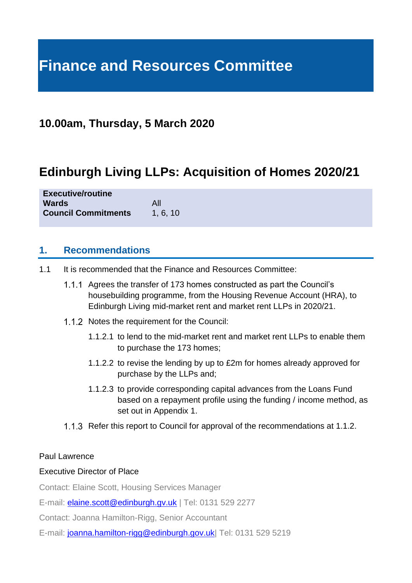# **Finance and Resources Committee**

# **10.00am, Thursday, 5 March 2020**

# **Edinburgh Living LLPs: Acquisition of Homes 2020/21**

**Executive/routine Wards** All **Council Commitments** 1, 6, 10

#### **1. Recommendations**

- 1.1 It is recommended that the Finance and Resources Committee:
	- Agrees the transfer of 173 homes constructed as part the Council's housebuilding programme, from the Housing Revenue Account (HRA), to Edinburgh Living mid-market rent and market rent LLPs in 2020/21.
	- 1.1.2 Notes the requirement for the Council:
		- 1.1.2.1 to lend to the mid-market rent and market rent LLPs to enable them to purchase the 173 homes;
		- 1.1.2.2 to revise the lending by up to £2m for homes already approved for purchase by the LLPs and;
		- 1.1.2.3 to provide corresponding capital advances from the Loans Fund based on a repayment profile using the funding / income method, as set out in Appendix 1.
	- 1.1.3 Refer this report to Council for approval of the recommendations at 1.1.2.

#### Paul Lawrence

#### Executive Director of Place

Contact: Elaine Scott, Housing Services Manager

E-mail: **[elaine.scott@edinburgh.gv.uk](mailto:elaine.scott@edinburgh.gv.uk)** | Tel: 0131 529 2277

Contact: Joanna Hamilton-Rigg, Senior Accountant

E-mail: joanna.hamilton-rigg@edinburgh.gov.uk| Tel: 0131 529 5219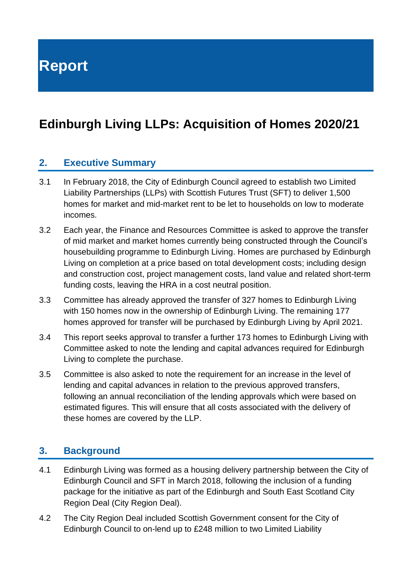**Report**

# **Edinburgh Living LLPs: Acquisition of Homes 2020/21**

#### **2. Executive Summary**

- 3.1 In February 2018, the City of Edinburgh Council agreed to establish two Limited Liability Partnerships (LLPs) with Scottish Futures Trust (SFT) to deliver 1,500 homes for market and mid-market rent to be let to households on low to moderate incomes.
- 3.2 Each year, the Finance and Resources Committee is asked to approve the transfer of mid market and market homes currently being constructed through the Council's housebuilding programme to Edinburgh Living. Homes are purchased by Edinburgh Living on completion at a price based on total development costs; including design and construction cost, project management costs, land value and related short-term funding costs, leaving the HRA in a cost neutral position.
- 3.3 Committee has already approved the transfer of 327 homes to Edinburgh Living with 150 homes now in the ownership of Edinburgh Living. The remaining 177 homes approved for transfer will be purchased by Edinburgh Living by April 2021.
- 3.4 This report seeks approval to transfer a further 173 homes to Edinburgh Living with Committee asked to note the lending and capital advances required for Edinburgh Living to complete the purchase.
- 3.5 Committee is also asked to note the requirement for an increase in the level of lending and capital advances in relation to the previous approved transfers, following an annual reconciliation of the lending approvals which were based on estimated figures. This will ensure that all costs associated with the delivery of these homes are covered by the LLP.

### **3. Background**

- 4.1 Edinburgh Living was formed as a housing delivery partnership between the City of Edinburgh Council and SFT in March 2018, following the inclusion of a funding package for the initiative as part of the Edinburgh and South East Scotland City Region Deal (City Region Deal).
- 4.2 The City Region Deal included Scottish Government consent for the City of Edinburgh Council to on-lend up to £248 million to two Limited Liability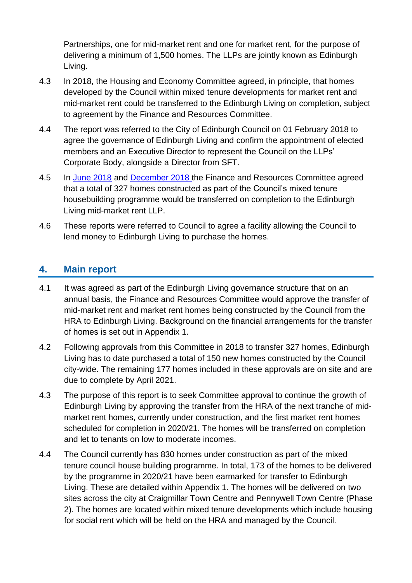Partnerships, one for mid-market rent and one for market rent, for the purpose of delivering a minimum of 1,500 homes. The LLPs are jointly known as Edinburgh Living.

- 4.3 In 2018, the Housing and Economy Committee agreed, in principle, that homes developed by the Council within mixed tenure developments for market rent and mid-market rent could be transferred to the Edinburgh Living on completion, subject to agreement by the Finance and Resources Committee.
- 4.4 The report was referred to the City of Edinburgh Council on 01 February 2018 to agree the governance of Edinburgh Living and confirm the appointment of elected members and an Executive Director to represent the Council on the LLPs' Corporate Body, alongside a Director from SFT.
- 4.5 In [June 2018](https://democracy.edinburgh.gov.uk/CeListDocuments.aspx?CommitteeId=140&MeetingId=2306&DF=12%2f06%2f2018&Ver=2) and [December 2018](https://democracy.edinburgh.gov.uk/CeListDocuments.aspx?CommitteeId=140&MeetingId=2310&DF=04%2f12%2f2018&Ver=2) the Finance and Resources Committee agreed that a total of 327 homes constructed as part of the Council's mixed tenure housebuilding programme would be transferred on completion to the Edinburgh Living mid-market rent LLP.
- 4.6 These reports were referred to Council to agree a facility allowing the Council to lend money to Edinburgh Living to purchase the homes.

## **4. Main report**

- 4.1 It was agreed as part of the Edinburgh Living governance structure that on an annual basis, the Finance and Resources Committee would approve the transfer of mid-market rent and market rent homes being constructed by the Council from the HRA to Edinburgh Living. Background on the financial arrangements for the transfer of homes is set out in Appendix 1.
- 4.2 Following approvals from this Committee in 2018 to transfer 327 homes, Edinburgh Living has to date purchased a total of 150 new homes constructed by the Council city-wide. The remaining 177 homes included in these approvals are on site and are due to complete by April 2021.
- 4.3 The purpose of this report is to seek Committee approval to continue the growth of Edinburgh Living by approving the transfer from the HRA of the next tranche of midmarket rent homes, currently under construction, and the first market rent homes scheduled for completion in 2020/21. The homes will be transferred on completion and let to tenants on low to moderate incomes.
- 4.4 The Council currently has 830 homes under construction as part of the mixed tenure council house building programme. In total, 173 of the homes to be delivered by the programme in 2020/21 have been earmarked for transfer to Edinburgh Living. These are detailed within Appendix 1. The homes will be delivered on two sites across the city at Craigmillar Town Centre and Pennywell Town Centre (Phase 2). The homes are located within mixed tenure developments which include housing for social rent which will be held on the HRA and managed by the Council.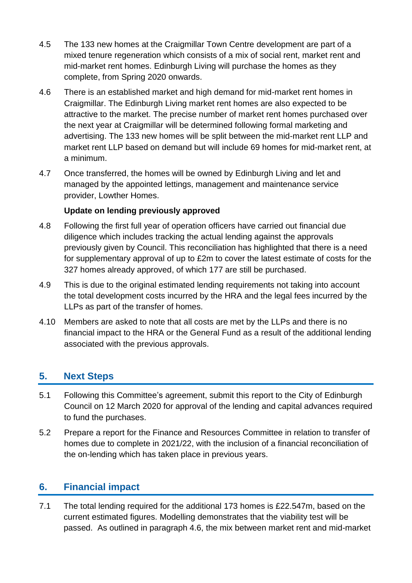- 4.5 The 133 new homes at the Craigmillar Town Centre development are part of a mixed tenure regeneration which consists of a mix of social rent, market rent and mid-market rent homes. Edinburgh Living will purchase the homes as they complete, from Spring 2020 onwards.
- 4.6 There is an established market and high demand for mid-market rent homes in Craigmillar. The Edinburgh Living market rent homes are also expected to be attractive to the market. The precise number of market rent homes purchased over the next year at Craigmillar will be determined following formal marketing and advertising. The 133 new homes will be split between the mid-market rent LLP and market rent LLP based on demand but will include 69 homes for mid-market rent, at a minimum.
- 4.7 Once transferred, the homes will be owned by Edinburgh Living and let and managed by the appointed lettings, management and maintenance service provider, Lowther Homes.

#### **Update on lending previously approved**

- 4.8 Following the first full year of operation officers have carried out financial due diligence which includes tracking the actual lending against the approvals previously given by Council. This reconciliation has highlighted that there is a need for supplementary approval of up to £2m to cover the latest estimate of costs for the 327 homes already approved, of which 177 are still be purchased.
- 4.9 This is due to the original estimated lending requirements not taking into account the total development costs incurred by the HRA and the legal fees incurred by the LLPs as part of the transfer of homes.
- 4.10 Members are asked to note that all costs are met by the LLPs and there is no financial impact to the HRA or the General Fund as a result of the additional lending associated with the previous approvals.

# **5. Next Steps**

- 5.1 Following this Committee's agreement, submit this report to the City of Edinburgh Council on 12 March 2020 for approval of the lending and capital advances required to fund the purchases.
- 5.2 Prepare a report for the Finance and Resources Committee in relation to transfer of homes due to complete in 2021/22, with the inclusion of a financial reconciliation of the on-lending which has taken place in previous years.

#### **6. Financial impact**

7.1 The total lending required for the additional 173 homes is £22.547m, based on the current estimated figures. Modelling demonstrates that the viability test will be passed. As outlined in paragraph 4.6, the mix between market rent and mid-market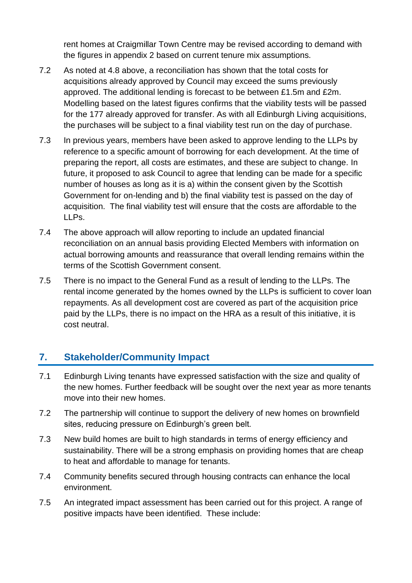rent homes at Craigmillar Town Centre may be revised according to demand with the figures in appendix 2 based on current tenure mix assumptions.

- 7.2 As noted at 4.8 above, a reconciliation has shown that the total costs for acquisitions already approved by Council may exceed the sums previously approved. The additional lending is forecast to be between £1.5m and £2m. Modelling based on the latest figures confirms that the viability tests will be passed for the 177 already approved for transfer. As with all Edinburgh Living acquisitions, the purchases will be subject to a final viability test run on the day of purchase.
- 7.3 In previous years, members have been asked to approve lending to the LLPs by reference to a specific amount of borrowing for each development. At the time of preparing the report, all costs are estimates, and these are subject to change. In future, it proposed to ask Council to agree that lending can be made for a specific number of houses as long as it is a) within the consent given by the Scottish Government for on-lending and b) the final viability test is passed on the day of acquisition. The final viability test will ensure that the costs are affordable to the LLPs.
- 7.4 The above approach will allow reporting to include an updated financial reconciliation on an annual basis providing Elected Members with information on actual borrowing amounts and reassurance that overall lending remains within the terms of the Scottish Government consent.
- 7.5 There is no impact to the General Fund as a result of lending to the LLPs. The rental income generated by the homes owned by the LLPs is sufficient to cover loan repayments. As all development cost are covered as part of the acquisition price paid by the LLPs, there is no impact on the HRA as a result of this initiative, it is cost neutral.

# **7. Stakeholder/Community Impact**

- 7.1 Edinburgh Living tenants have expressed satisfaction with the size and quality of the new homes. Further feedback will be sought over the next year as more tenants move into their new homes.
- 7.2 The partnership will continue to support the delivery of new homes on brownfield sites, reducing pressure on Edinburgh's green belt.
- 7.3 New build homes are built to high standards in terms of energy efficiency and sustainability. There will be a strong emphasis on providing homes that are cheap to heat and affordable to manage for tenants.
- 7.4 Community benefits secured through housing contracts can enhance the local environment.
- 7.5 An integrated impact assessment has been carried out for this project. A range of positive impacts have been identified. These include: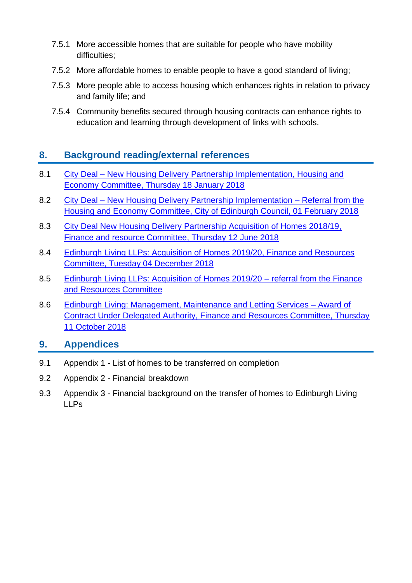- 7.5.1 More accessible homes that are suitable for people who have mobility difficulties;
- 7.5.2 More affordable homes to enable people to have a good standard of living;
- 7.5.3 More people able to access housing which enhances rights in relation to privacy and family life; and
- 7.5.4 Community benefits secured through housing contracts can enhance rights to education and learning through development of links with schools.

# **8. Background reading/external references**

- 8.1 City Deal [New Housing Delivery Partnership Implementation, Housing and](https://democracy.edinburgh.gov.uk/Data/Housing%20and%20Economy%20Committee/20180118/Agenda/item_72_-_city_deal_-_new_housing_delivery_partnership_implementation.pdf)  [Economy Committee, Thursday 18 January 2018](https://democracy.edinburgh.gov.uk/Data/Housing%20and%20Economy%20Committee/20180118/Agenda/item_72_-_city_deal_-_new_housing_delivery_partnership_implementation.pdf)
- 8.2 City Deal [New Housing Delivery Partnership Implementation –](https://democracy.edinburgh.gov.uk/Data/City%20of%20Edinburgh%20Council/20180201/Agenda/$item_84_-_city_deal_-_new_housing_delivery_partnership_implementation_-_referral_from_the_housing_and_economy_comm.xls.pdf) Referral from the [Housing and Economy Committee, City of Edinburgh Council, 01 February 2018](https://democracy.edinburgh.gov.uk/Data/City%20of%20Edinburgh%20Council/20180201/Agenda/$item_84_-_city_deal_-_new_housing_delivery_partnership_implementation_-_referral_from_the_housing_and_economy_comm.xls.pdf)
- 8.3 [City Deal New Housing Delivery Partnership Acquisition of Homes 2018/19,](https://democracy.edinburgh.gov.uk/Data/Finance%20and%20Resources%20Committee/20180612/Agenda/item_714_-_city_deal_new_housing_delivery_partnership_acquisition_of_homes_201819.pdf)  [Finance and resource Committee, Thursday 12 June 2018](https://democracy.edinburgh.gov.uk/Data/Finance%20and%20Resources%20Committee/20180612/Agenda/item_714_-_city_deal_new_housing_delivery_partnership_acquisition_of_homes_201819.pdf)
- 8.4 [Edinburgh Living LLPs: Acquisition of Homes 2019/20, Finance and Resources](https://democracy.edinburgh.gov.uk/Data/Finance%20and%20Resources%20Committee/20181204/Agenda/item_714_-_edinburgh_living_llps_acquisition_of_homes_201920.pdf)  [Committee, Tuesday 04 December 2018](https://democracy.edinburgh.gov.uk/Data/Finance%20and%20Resources%20Committee/20181204/Agenda/item_714_-_edinburgh_living_llps_acquisition_of_homes_201920.pdf)
- 8.5 [Edinburgh Living LLPs: Acquisition of Homes 2019/20 –](https://democracy.edinburgh.gov.uk/Data/City%20of%20Edinburgh%20Council/20190207/Agenda/item_85_-_edinburgh_living_llps_-_acquisition_of_homes_-_referral_from_the_finance_and_resources_committeepdf.pdf) referral from the Finance [and Resources Committee](https://democracy.edinburgh.gov.uk/Data/City%20of%20Edinburgh%20Council/20190207/Agenda/item_85_-_edinburgh_living_llps_-_acquisition_of_homes_-_referral_from_the_finance_and_resources_committeepdf.pdf)
- 8.6 [Edinburgh Living: Management, Maintenance and Letting Services –](http://www.edinburgh.gov.uk/meetings/meeting/4554/finance_and_resources_committee) Award of [Contract Under Delegated Authority, Finance and Resources Committee, Thursday](http://www.edinburgh.gov.uk/meetings/meeting/4554/finance_and_resources_committee)  [11 October 2018](http://www.edinburgh.gov.uk/meetings/meeting/4554/finance_and_resources_committee)

### **9. Appendices**

- 9.1 Appendix 1 List of homes to be transferred on completion
- 9.2 Appendix 2 Financial breakdown
- 9.3 Appendix 3 Financial background on the transfer of homes to Edinburgh Living LLPs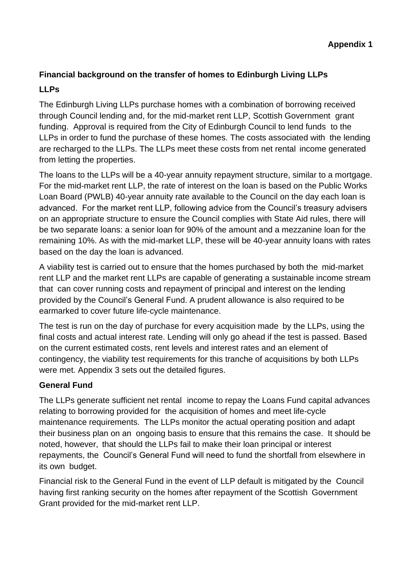#### **Financial background on the transfer of homes to Edinburgh Living LLPs**

#### **LLPs**

The Edinburgh Living LLPs purchase homes with a combination of borrowing received through Council lending and, for the mid-market rent LLP, Scottish Government grant funding. Approval is required from the City of Edinburgh Council to lend funds to the LLPs in order to fund the purchase of these homes. The costs associated with the lending are recharged to the LLPs. The LLPs meet these costs from net rental income generated from letting the properties.

The loans to the LLPs will be a 40-year annuity repayment structure, similar to a mortgage. For the mid-market rent LLP, the rate of interest on the loan is based on the Public Works Loan Board (PWLB) 40-year annuity rate available to the Council on the day each loan is advanced. For the market rent LLP, following advice from the Council's treasury advisers on an appropriate structure to ensure the Council complies with State Aid rules, there will be two separate loans: a senior loan for 90% of the amount and a mezzanine loan for the remaining 10%. As with the mid-market LLP, these will be 40-year annuity loans with rates based on the day the loan is advanced.

A viability test is carried out to ensure that the homes purchased by both the mid-market rent LLP and the market rent LLPs are capable of generating a sustainable income stream that can cover running costs and repayment of principal and interest on the lending provided by the Council's General Fund. A prudent allowance is also required to be earmarked to cover future life-cycle maintenance.

The test is run on the day of purchase for every acquisition made by the LLPs, using the final costs and actual interest rate. Lending will only go ahead if the test is passed. Based on the current estimated costs, rent levels and interest rates and an element of contingency, the viability test requirements for this tranche of acquisitions by both LLPs were met. Appendix 3 sets out the detailed figures.

#### **General Fund**

The LLPs generate sufficient net rental income to repay the Loans Fund capital advances relating to borrowing provided for the acquisition of homes and meet life-cycle maintenance requirements. The LLPs monitor the actual operating position and adapt their business plan on an ongoing basis to ensure that this remains the case. It should be noted, however, that should the LLPs fail to make their loan principal or interest repayments, the Council's General Fund will need to fund the shortfall from elsewhere in its own budget.

Financial risk to the General Fund in the event of LLP default is mitigated by the Council having first ranking security on the homes after repayment of the Scottish Government Grant provided for the mid-market rent LLP.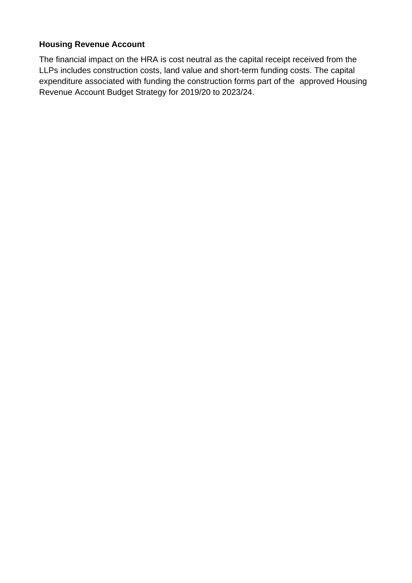#### **Housing Revenue Account**

The financial impact on the HRA is cost neutral as the capital receipt received from the LLPs includes construction costs, land value and short-term funding costs. The capital expenditure associated with funding the construction forms part of the approved Housing Revenue Account Budget Strategy for 2019/20 to 2023/24.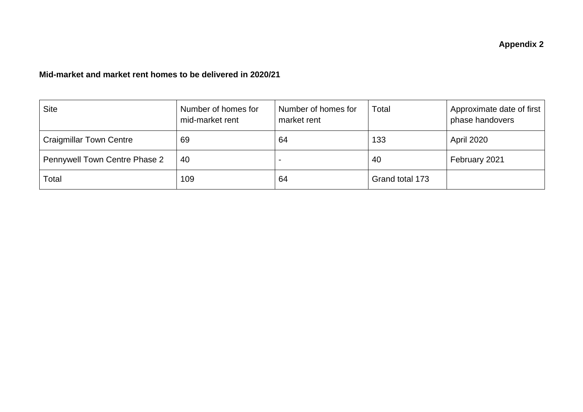#### **Mid-market and market rent homes to be delivered in 2020/21**

| <b>Site</b>                          | Number of homes for<br>mid-market rent | Number of homes for<br>market rent | Total           | Approximate date of first<br>phase handovers |
|--------------------------------------|----------------------------------------|------------------------------------|-----------------|----------------------------------------------|
| <b>Craigmillar Town Centre</b>       | 69                                     | 64                                 | 133             | <b>April 2020</b>                            |
| <b>Pennywell Town Centre Phase 2</b> | 40                                     |                                    | 40              | February 2021                                |
| Total                                | 109                                    | 64                                 | Grand total 173 |                                              |